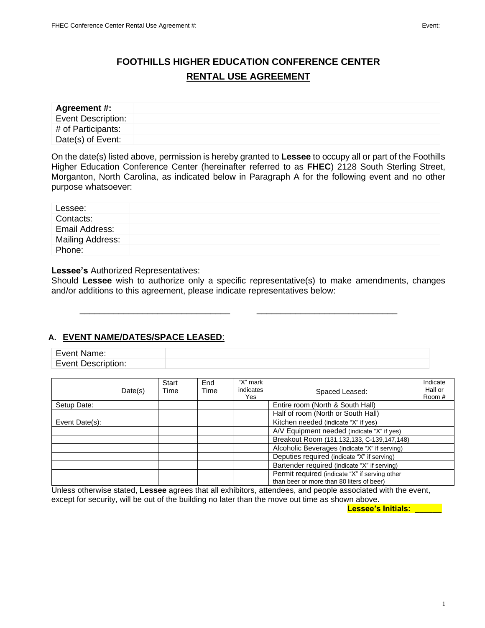# **FOOTHILLS HIGHER EDUCATION CONFERENCE CENTER RENTAL USE AGREEMENT**

| Agreement #:              |  |
|---------------------------|--|
| <b>Event Description:</b> |  |
| # of Participants:        |  |
| Date(s) of Event:         |  |

On the date(s) listed above, permission is hereby granted to **Lessee** to occupy all or part of the Foothills Higher Education Conference Center (hereinafter referred to as **FHEC**) 2128 South Sterling Street, Morganton, North Carolina, as indicated below in Paragraph A for the following event and no other purpose whatsoever:

| Lessee:          |  |
|------------------|--|
| Contacts:        |  |
| Email Address:   |  |
| Mailing Address: |  |
| Phone:           |  |

#### **Lessee's** Authorized Representatives:

Should **Lessee** wish to authorize only a specific representative(s) to make amendments, changes and/or additions to this agreement, please indicate representatives below:

### **A. EVENT NAME/DATES/SPACE LEASED**:

| Fvent<br>Name:                             |  |
|--------------------------------------------|--|
| Fvent.<br>.<br>חפמו<br>`ription.<br>$-000$ |  |

\_\_\_\_\_\_\_\_\_\_\_\_\_\_\_\_\_\_\_\_\_\_\_\_\_\_\_\_\_\_\_ \_\_\_\_\_\_\_\_\_\_\_\_\_\_\_\_\_\_\_\_\_\_\_\_\_\_\_\_\_

|                | Date(s) | Start<br>Time | End<br>Time | "X" mark<br>indicates<br>Yes | Spaced Leased:                                                                              | Indicate<br>Hall or<br>Room # |
|----------------|---------|---------------|-------------|------------------------------|---------------------------------------------------------------------------------------------|-------------------------------|
| Setup Date:    |         |               |             |                              | Entire room (North & South Hall)                                                            |                               |
|                |         |               |             |                              | Half of room (North or South Hall)                                                          |                               |
| Event Date(s): |         |               |             |                              | Kitchen needed (indicate "X" if yes)                                                        |                               |
|                |         |               |             |                              | A/V Equipment needed (indicate "X" if yes)                                                  |                               |
|                |         |               |             |                              | Breakout Room (131,132,133, C-139,147,148)                                                  |                               |
|                |         |               |             |                              | Alcoholic Beverages (indicate "X" if serving)                                               |                               |
|                |         |               |             |                              | Deputies required (indicate "X" if serving)                                                 |                               |
|                |         |               |             |                              | Bartender required (indicate "X" if serving)                                                |                               |
|                |         |               |             |                              | Permit required (indicate "X" if serving other<br>than beer or more than 80 liters of beer) |                               |

Unless otherwise stated, **Lessee** agrees that all exhibitors, attendees, and people associated with the event, except for security, will be out of the building no later than the move out time as shown above.

 **Lessee's Initials: \_\_\_\_\_\_**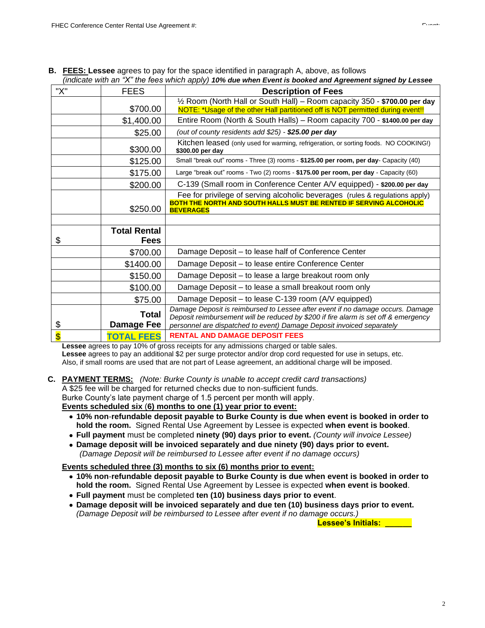| "X"                     | <b>FEES</b>                | <b>Description of Fees</b>                                                                                                                                                                                                                     |
|-------------------------|----------------------------|------------------------------------------------------------------------------------------------------------------------------------------------------------------------------------------------------------------------------------------------|
|                         |                            | $\frac{1}{2}$ Room (North Hall or South Hall) – Room capacity 350 - \$700.00 per day                                                                                                                                                           |
|                         | \$700.00                   | NOTE: *Usage of the other Hall partitioned off is NOT permitted during event!!                                                                                                                                                                 |
|                         | \$1,400.00                 | Entire Room (North & South Halls) - Room capacity 700 - \$1400.00 per day                                                                                                                                                                      |
|                         | \$25.00                    | (out of county residents add \$25) - \$25.00 per day                                                                                                                                                                                           |
|                         | \$300.00                   | Kitchen leased (only used for warming, refrigeration, or sorting foods. NO COOKING!)<br>\$300.00 per day                                                                                                                                       |
|                         | \$125.00                   | Small "break out" rooms - Three (3) rooms - \$125.00 per room, per day- Capacity (40)                                                                                                                                                          |
|                         | \$175.00                   | Large "break out" rooms - Two (2) rooms - \$175.00 per room, per day - Capacity (60)                                                                                                                                                           |
|                         | \$200.00                   | C-139 (Small room in Conference Center A/V equipped) - \$200.00 per day                                                                                                                                                                        |
|                         | \$250.00                   | Fee for privilege of serving alcoholic beverages (rules & regulations apply)<br><b>BOTH THE NORTH AND SOUTH HALLS MUST BE RENTED IF SERVING ALCOHOLIC</b><br><b>BEVERAGES</b>                                                                  |
|                         |                            |                                                                                                                                                                                                                                                |
|                         | <b>Total Rental</b>        |                                                                                                                                                                                                                                                |
| \$                      | <b>Fees</b>                |                                                                                                                                                                                                                                                |
|                         | \$700.00                   | Damage Deposit - to lease half of Conference Center                                                                                                                                                                                            |
|                         | \$1400.00                  | Damage Deposit – to lease entire Conference Center                                                                                                                                                                                             |
|                         | \$150.00                   | Damage Deposit - to lease a large breakout room only                                                                                                                                                                                           |
|                         | \$100.00                   | Damage Deposit - to lease a small breakout room only                                                                                                                                                                                           |
|                         | \$75.00                    | Damage Deposit - to lease C-139 room (A/V equipped)                                                                                                                                                                                            |
| \$                      | <b>Total</b><br>Damage Fee | Damage Deposit is reimbursed to Lessee after event if no damage occurs. Damage<br>Deposit reimbursement will be reduced by \$200 if fire alarm is set off & emergency<br>personnel are dispatched to event) Damage Deposit invoiced separately |
| $\overline{\mathbf{S}}$ | <b>TOTAL FEES</b>          | <b>RENTAL AND DAMAGE DEPOSIT FEES</b>                                                                                                                                                                                                          |

| <b>B.</b> FEES: Lessee agrees to pay for the space identified in paragraph A, above, as follows         |
|---------------------------------------------------------------------------------------------------------|
| (indicate with an "X" the fees which apply) 10% due when Event is booked and Agreement signed by Lessee |
|                                                                                                         |

**Lessee** agrees to pay 10% of gross receipts for any admissions charged or table sales. **Lessee** agrees to pay an additional \$2 per surge protector and/or drop cord requested for use in setups, etc. Also, if small rooms are used that are not part of Lease agreement, an additional charge will be imposed.

#### **C. PAYMENT TERMS:** *(Note: Burke County is unable to accept credit card transactions)*

A \$25 fee will be charged for returned checks due to non-sufficient funds.

Burke County's late payment charge of 1.5 percent per month will apply.

#### **Events scheduled six** (**6) months to one (1) year prior to event:**

- **10% non**-**refundable deposit payable to Burke County is due when event is booked in order to hold the room.** Signed Rental Use Agreement by Lessee is expected **when event is booked**.
- **Full payment** must be completed **ninety (90) days prior to event.** *(County will invoice Lessee)*
- **Damage deposit will be invoiced separately and due ninety (90) days prior to event.**  *(Damage Deposit will be reimbursed to Lessee after event if no damage occurs)*

#### **Events scheduled three (3) months to six (6) months prior to event:**

- **10% non**-**refundable deposit payable to Burke County is due when event is booked in order to hold the room.** Signed Rental Use Agreement by Lessee is expected **when event is booked**.
- **Full payment** must be completed **ten (10) business days prior to event**.
- **Damage deposit will be invoiced separately and due ten (10) business days prior to event.** *(Damage Deposit will be reimbursed to Lessee after event if no damage occurs.)*

 **Lessee's Initials: \_\_\_\_\_\_**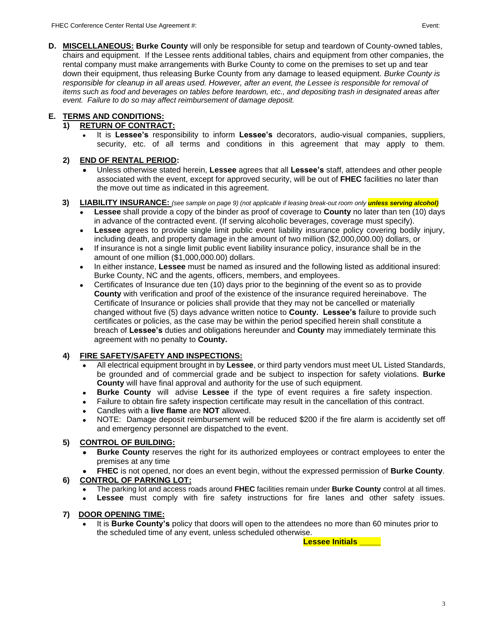**D. MISCELLANEOUS: Burke County** will only be responsible for setup and teardown of County-owned tables, chairs and equipment. If the Lessee rents additional tables, chairs and equipment from other companies, the rental company must make arrangements with Burke County to come on the premises to set up and tear down their equipment, thus releasing Burke County from any damage to leased equipment. *Burke County is responsible for cleanup in all areas used. However, after an event, the Lessee is responsible for removal of items such as food and beverages on tables before teardown, etc., and depositing trash in designated areas after event. Failure to do so may affect reimbursement of damage deposit.*

## **E. TERMS AND CONDITIONS:**

## **1) RETURN OF CONTRACT:**

• It is **Lessee's** responsibility to inform **Lessee's** decorators, audio-visual companies, suppliers, security, etc. of all terms and conditions in this agreement that may apply to them.

## **2) END OF RENTAL PERIOD:**

• Unless otherwise stated herein, **Lessee** agrees that all **Lessee's** staff, attendees and other people associated with the event, except for approved security, will be out of **FHEC** facilities no later than the move out time as indicated in this agreement.

### **3) LIABILITY INSURANCE:** *(see sample on page 9) (not applicable if leasing break-out room only unless serving alcohol)*

- **Lessee** shall provide a copy of the binder as proof of coverage to **County** no later than ten (10) days in advance of the contracted event. (If serving alcoholic beverages, coverage must specify).
- **Lessee** agrees to provide single limit public event liability insurance policy covering bodily injury, including death, and property damage in the amount of two million (\$2,000,000.00) dollars, or
- If insurance is not a single limit public event liability insurance policy, insurance shall be in the amount of one million (\$1,000,000.00) dollars.
- In either instance, **Lessee** must be named as insured and the following listed as additional insured: Burke County, NC and the agents, officers, members, and employees.
- Certificates of Insurance due ten (10) days prior to the beginning of the event so as to provide **County** with verification and proof of the existence of the insurance required hereinabove. The Certificate of Insurance or policies shall provide that they may not be cancelled or materially changed without five (5) days advance written notice to **County. Lessee's** failure to provide such certificates or policies, as the case may be within the period specified herein shall constitute a breach of **Lessee's** duties and obligations hereunder and **County** may immediately terminate this agreement with no penalty to **County.**

## **4) FIRE SAFETY/SAFETY AND INSPECTIONS:**

- All electrical equipment brought in by **Lessee**, or third party vendors must meet UL Listed Standards, be grounded and of commercial grade and be subject to inspection for safety violations. **Burke County** will have final approval and authority for the use of such equipment.
- **Burke County** will advise **Lessee** if the type of event requires a fire safety inspection.
- Failure to obtain fire safety inspection certificate may result in the cancellation of this contract.
- Candles with a **live flame** are **NOT** allowed.
- NOTE: Damage deposit reimbursement will be reduced \$200 if the fire alarm is accidently set off and emergency personnel are dispatched to the event.

## **5) CONTROL OF BUILDING:**

- **Burke County** reserves the right for its authorized employees or contract employees to enter the premises at any time
- **FHEC** is not opened, nor does an event begin, without the expressed permission of **Burke County**.

## **6) CONTROL OF PARKING LOT:**

- The parking lot and access roads around **FHEC** facilities remain under **Burke County** control at all times.
- Lessee must comply with fire safety instructions for fire lanes and other safety issues.

## **7) DOOR OPENING TIME:**

• It is **Burke County's** policy that doors will open to the attendees no more than 60 minutes prior to the scheduled time of any event, unless scheduled otherwise.

**Lessee Initials \_\_\_\_\_**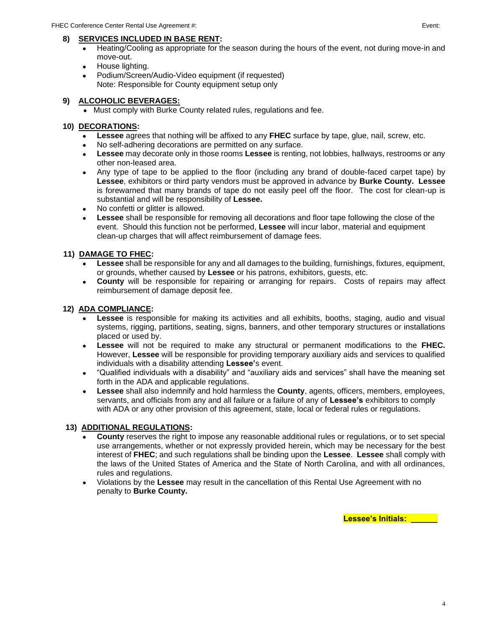#### **8) SERVICES INCLUDED IN BASE RENT:**

- Heating/Cooling as appropriate for the season during the hours of the event, not during move-in and move-out.
- House lighting.
- Podium/Screen/Audio-Video equipment (if requested) Note: Responsible for County equipment setup only

#### **9) ALCOHOLIC BEVERAGES:**

• Must comply with Burke County related rules, regulations and fee.

#### **10) DECORATIONS:**

- **Lessee** agrees that nothing will be affixed to any **FHEC** surface by tape, glue, nail, screw, etc.
- No self-adhering decorations are permitted on any surface.
- **Lessee** may decorate only in those rooms **Lessee** is renting, not lobbies, hallways, restrooms or any other non-leased area.
- Any type of tape to be applied to the floor (including any brand of double-faced carpet tape) by **Lessee**, exhibitors or third party vendors must be approved in advance by **Burke County. Lessee** is forewarned that many brands of tape do not easily peel off the floor. The cost for clean-up is substantial and will be responsibility of **Lessee.**
- No confetti or glitter is allowed.
- **Lessee** shall be responsible for removing all decorations and floor tape following the close of the event. Should this function not be performed, **Lessee** will incur labor, material and equipment clean-up charges that will affect reimbursement of damage fees.

#### **11) DAMAGE TO FHEC:**

- **Lessee** shall be responsible for any and all damages to the building, furnishings, fixtures, equipment, or grounds, whether caused by **Lessee** or his patrons, exhibitors, guests, etc.
- **County** will be responsible for repairing or arranging for repairs. Costs of repairs may affect reimbursement of damage deposit fee.

#### **12) ADA COMPLIANCE:**

- **Lessee** is responsible for making its activities and all exhibits, booths, staging, audio and visual systems, rigging, partitions, seating, signs, banners, and other temporary structures or installations placed or used by.
- **Lessee** will not be required to make any structural or permanent modifications to the **FHEC.** However, **Lessee** will be responsible for providing temporary auxiliary aids and services to qualified individuals with a disability attending **Lessee'**s event.
- "Qualified individuals with a disability" and "auxiliary aids and services" shall have the meaning set forth in the ADA and applicable regulations.
- **Lessee** shall also indemnify and hold harmless the **County**, agents, officers, members, employees, servants, and officials from any and all failure or a failure of any of **Lessee's** exhibitors to comply with ADA or any other provision of this agreement, state, local or federal rules or regulations.

#### **13) ADDITIONAL REGULATIONS:**

- **County** reserves the right to impose any reasonable additional rules or regulations, or to set special use arrangements, whether or not expressly provided herein, which may be necessary for the best interest of **FHEC**; and such regulations shall be binding upon the **Lessee**. **Lessee** shall comply with the laws of the United States of America and the State of North Carolina, and with all ordinances, rules and regulations.
- Violations by the **Lessee** may result in the cancellation of this Rental Use Agreement with no penalty to **Burke County.**

 **Lessee's Initials: \_\_\_\_\_\_**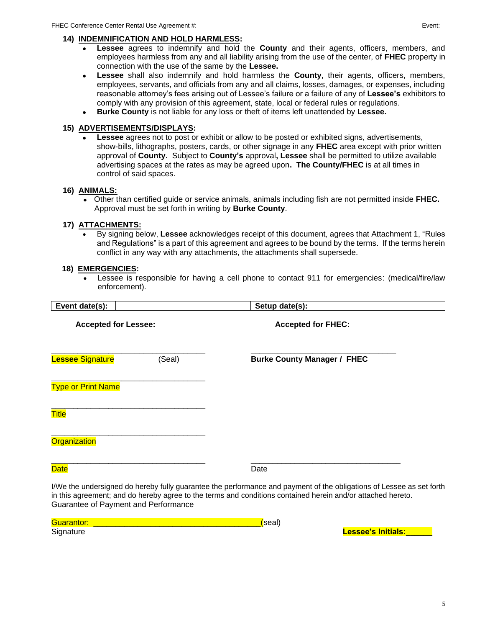#### **14) INDEMNIFICATION AND HOLD HARMLESS:**

- **Lessee** agrees to indemnify and hold the **County** and their agents, officers, members, and employees harmless from any and all liability arising from the use of the center, of **FHEC** property in connection with the use of the same by the **Lessee.**
- **Lessee** shall also indemnify and hold harmless the **County**, their agents, officers, members, employees, servants, and officials from any and all claims, losses, damages, or expenses, including reasonable attorney's fees arising out of Lessee's failure or a failure of any of **Lessee's** exhibitors to comply with any provision of this agreement, state, local or federal rules or regulations.
- **Burke County** is not liable for any loss or theft of items left unattended by **Lessee.**

#### **15) ADVERTISEMENTS/DISPLAYS:**

• **Lessee** agrees not to post or exhibit or allow to be posted or exhibited signs, advertisements, show-bills, lithographs, posters, cards, or other signage in any **FHEC** area except with prior written approval of **County.** Subject to **County's** approval**, Lessee** shall be permitted to utilize available advertising spaces at the rates as may be agreed upon**. The County/FHEC** is at all times in control of said spaces.

#### **16) ANIMALS:**

• Other than certified guide or service animals, animals including fish are not permitted inside **FHEC.** Approval must be set forth in writing by **Burke County**.

#### **17) ATTACHMENTS:**

• By signing below, **Lessee** acknowledges receipt of this document, agrees that Attachment 1, "Rules and Regulations" is a part of this agreement and agrees to be bound by the terms. If the terms herein conflict in any way with any attachments, the attachments shall supersede.

#### **18) EMERGENCIES:**

• Lessee is responsible for having a cell phone to contact 911 for emergencies: (medical/fire/law enforcement).

| Event date(s):                       | Setup date(s):                                                                                                                                                                                                                      |
|--------------------------------------|-------------------------------------------------------------------------------------------------------------------------------------------------------------------------------------------------------------------------------------|
| <b>Accepted for Lessee:</b>          | <b>Accepted for FHEC:</b>                                                                                                                                                                                                           |
| <b>Lessee Signature</b><br>(Seal)    | <b>Burke County Manager / FHEC</b>                                                                                                                                                                                                  |
| <b>Type or Print Name</b>            |                                                                                                                                                                                                                                     |
| <b>Title</b>                         |                                                                                                                                                                                                                                     |
| <b>Organization</b>                  |                                                                                                                                                                                                                                     |
| <b>Date</b>                          | Date                                                                                                                                                                                                                                |
| Guarantee of Payment and Performance | I/We the undersigned do hereby fully guarantee the performance and payment of the obligations of Lessee as set forth<br>in this agreement; and do hereby agree to the terms and conditions contained herein and/or attached hereto. |

| Guarantor | seall |                           |
|-----------|-------|---------------------------|
| Signature |       | <b>Lessee's Initials:</b> |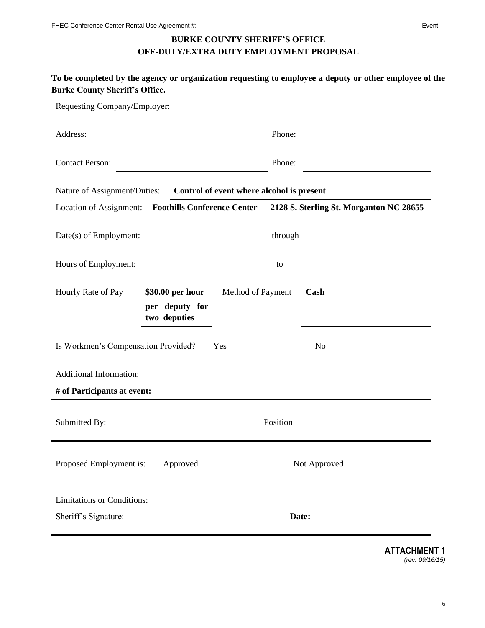## **BURKE COUNTY SHERIFF'S OFFICE OFF-DUTY/EXTRA DUTY EMPLOYMENT PROPOSAL**

| Requesting Company/Employer:                                             |                                                                     |
|--------------------------------------------------------------------------|---------------------------------------------------------------------|
| Address:                                                                 | Phone:                                                              |
| <b>Contact Person:</b>                                                   | Phone:                                                              |
| Nature of Assignment/Duties: Control of event where alcohol is present   |                                                                     |
| Location of Assignment:                                                  | Foothills Conference Center 2128 S. Sterling St. Morganton NC 28655 |
| Date(s) of Employment:                                                   | through                                                             |
| Hours of Employment:                                                     | to                                                                  |
| Hourly Rate of Pay<br>\$30.00 per hour<br>per deputy for<br>two deputies | Method of Payment<br>Cash                                           |
| Is Workmen's Compensation Provided?<br>Yes                               | N <sub>o</sub>                                                      |
| <b>Additional Information:</b>                                           |                                                                     |
| # of Participants at event:                                              |                                                                     |
| Submitted By:                                                            | Position                                                            |
| Proposed Employment is:<br>Approved                                      | Not Approved                                                        |
|                                                                          |                                                                     |
| <b>Limitations or Conditions:</b>                                        |                                                                     |
| Sheriff's Signature:                                                     | Date:                                                               |

**ATTACHMENT 1** *(rev. 09/16/15)*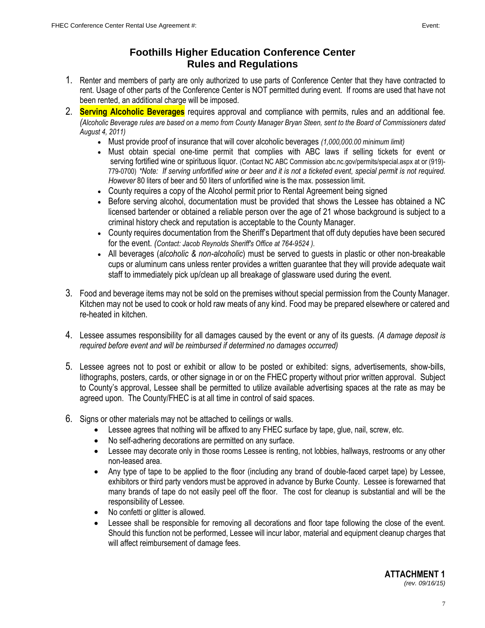## **Foothills Higher Education Conference Center Rules and Regulations**

- 1. Renter and members of party are only authorized to use parts of Conference Center that they have contracted to rent. Usage of other parts of the Conference Center is NOT permitted during event. If rooms are used that have not been rented, an additional charge will be imposed.
- 2. **Serving Alcoholic Beverages** requires approval and compliance with permits, rules and an additional fee. *(Alcoholic Beverage rules are based on a memo from County Manager Bryan Steen, sent to the Board of Commissioners dated August 4, 2011)*
	- Must provide proof of insurance that will cover alcoholic beverages *(1,000,000.00 minimum limit)*
	- Must obtain special one-time permit that complies with ABC laws if selling tickets for event or serving fortified wine or spirituous liquor. (Contact NC ABC Commission abc.nc.gov/permits/special.aspx at or (919)-779-0700) *\*Note: If serving unfortified wine or beer and it is not a ticketed event, special permit is not required. However* 80 liters of beer and 50 liters of unfortified wine is the max. possession limit.
	- County requires a copy of the Alcohol permit prior to Rental Agreement being signed
	- Before serving alcohol, documentation must be provided that shows the Lessee has obtained a NC licensed bartender or obtained a reliable person over the age of 21 whose background is subject to a criminal history check and reputation is acceptable to the County Manager.
	- County requires documentation from the Sheriff's Department that off duty deputies have been secured for the event. *(Contact: Jacob Reynolds Sheriff's Office at 764-9524 ).*
	- All beverages (*alcoholic & non-alcoholic*) must be served to guests in plastic or other non-breakable cups or aluminum cans unless renter provides a written guarantee that they will provide adequate wait staff to immediately pick up/clean up all breakage of glassware used during the event.
- 3. Food and beverage items may not be sold on the premises without special permission from the County Manager. Kitchen may not be used to cook or hold raw meats of any kind. Food may be prepared elsewhere or catered and re-heated in kitchen.
- 4. Lessee assumes responsibility for all damages caused by the event or any of its guests. *(A damage deposit is required before event and will be reimbursed if determined no damages occurred)*
- 5. Lessee agrees not to post or exhibit or allow to be posted or exhibited: signs, advertisements, show-bills, lithographs, posters, cards, or other signage in or on the FHEC property without prior written approval. Subject to County's approval, Lessee shall be permitted to utilize available advertising spaces at the rate as may be agreed upon. The County/FHEC is at all time in control of said spaces.
- 6. Signs or other materials may not be attached to ceilings or walls.
	- Lessee agrees that nothing will be affixed to any FHEC surface by tape, glue, nail, screw, etc.
	- No self-adhering decorations are permitted on any surface.
	- Lessee may decorate only in those rooms Lessee is renting, not lobbies, hallways, restrooms or any other non-leased area.
	- Any type of tape to be applied to the floor (including any brand of double-faced carpet tape) by Lessee, exhibitors or third party vendors must be approved in advance by Burke County. Lessee is forewarned that many brands of tape do not easily peel off the floor. The cost for cleanup is substantial and will be the responsibility of Lessee.
	- No confetti or glitter is allowed.
	- Lessee shall be responsible for removing all decorations and floor tape following the close of the event. Should this function not be performed, Lessee will incur labor, material and equipment cleanup charges that will affect reimbursement of damage fees.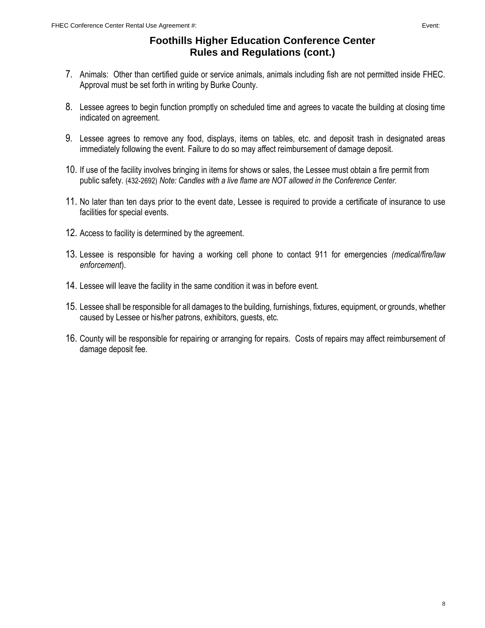## **Foothills Higher Education Conference Center Rules and Regulations (cont.)**

- 7. Animals: Other than certified guide or service animals, animals including fish are not permitted inside FHEC. Approval must be set forth in writing by Burke County.
- 8. Lessee agrees to begin function promptly on scheduled time and agrees to vacate the building at closing time indicated on agreement.
- 9. Lessee agrees to remove any food, displays, items on tables, etc. and deposit trash in designated areas immediately following the event. Failure to do so may affect reimbursement of damage deposit.
- 10. If use of the facility involves bringing in items for shows or sales, the Lessee must obtain a fire permit from public safety. (432-2692) *Note: Candles with a live flame are NOT allowed in the Conference Center.*
- 11. No later than ten days prior to the event date, Lessee is required to provide a certificate of insurance to use facilities for special events.
- 12. Access to facility is determined by the agreement.
- 13. Lessee is responsible for having a working cell phone to contact 911 for emergencies *(medical/fire/law enforcement*).
- 14. Lessee will leave the facility in the same condition it was in before event.
- 15. Lessee shall be responsible for all damages to the building, furnishings, fixtures, equipment, or grounds, whether caused by Lessee or his/her patrons, exhibitors, guests, etc.
- 16. County will be responsible for repairing or arranging for repairs. Costs of repairs may affect reimbursement of damage deposit fee.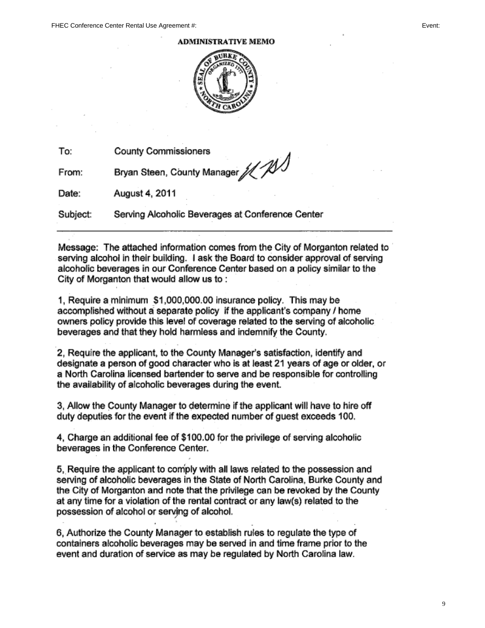**ADMINISTRATIVE MEMO** 



To: **County Commissioners** 

Bryan Steen, County Manager // / From:

Date: August 4, 2011

Subject: Serving Alcoholic Beverages at Conference Center

Message: The attached information comes from the City of Morganton related to serving alcohol in their building. I ask the Board to consider approval of serving alcoholic beverages in our Conference Center based on a policy similar to the City of Morganton that would allow us to:

1, Require a minimum \$1,000,000.00 insurance policy. This may be accomplished without a separate policy if the applicant's company / home owners policy provide this level of coverage related to the serving of alcoholic beverages and that they hold harmless and indemnify the County.

2. Require the applicant, to the County Manager's satisfaction, identify and designate a person of good character who is at least 21 years of age or older, or a North Carolina licensed bartender to serve and be responsible for controlling the availability of alcoholic beverages during the event.

3. Allow the County Manager to determine if the applicant will have to hire off duty deputies for the event if the expected number of quest exceeds 100.

4. Charge an additional fee of \$100.00 for the privilege of serving alcoholic beverages in the Conference Center.

5. Require the applicant to comply with all laws related to the possession and serving of alcoholic beverages in the State of North Carolina, Burke County and the City of Morganton and note that the privilege can be revoked by the County at any time for a violation of the rental contract or any law(s) related to the possession of alcohol or serving of alcohol.

6. Authorize the County Manager to establish rules to regulate the type of containers alcoholic beverages may be served in and time frame prior to the event and duration of service as may be regulated by North Carolina law.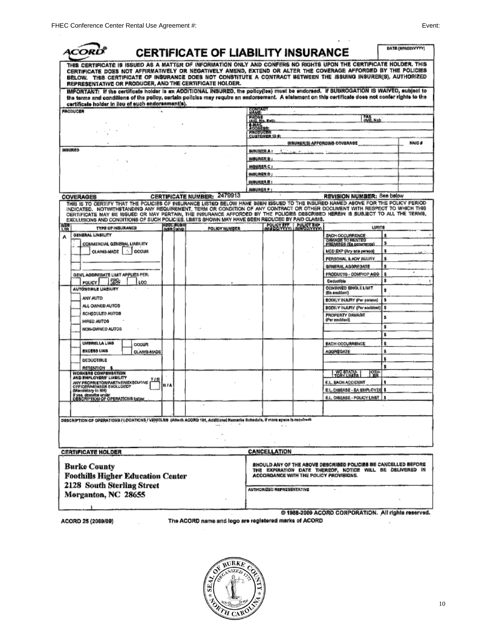| 4CO)                                                                                                                                                                                                                                                                                                                                                                                                             |                          | <b>CERTIFICATE OF LIABILITY INSURANCE</b> |                          |                       |                                                                                                                                                                      | <b>DATE (MN/DD/YYYY)</b> |
|------------------------------------------------------------------------------------------------------------------------------------------------------------------------------------------------------------------------------------------------------------------------------------------------------------------------------------------------------------------------------------------------------------------|--------------------------|-------------------------------------------|--------------------------|-----------------------|----------------------------------------------------------------------------------------------------------------------------------------------------------------------|--------------------------|
| THIS CERTIFICATE IS ISSUED AS A MATTER OF INFORMATION ONLY AND CONFERS NO RIGHTS UPON THE CERTIFICATE HOLDER, THIS<br>CERTIFICATE DOES NOT AFFIRMATIVELY OR NEGATIVELY AMEND, EXTEND OR ALTER THE COVERAGE AFFORDED BY THE POLICIES<br>BELOW. THIS CERTIFICATE OF INSURANCE DOES NOT CONSTITUTE A CONTRACT BETWEEN THE ISSUING INSURER(S), AUTHORIZED<br>REPRESENTATIVE OR PRODUCER, AND THE CERTIFICATE HOLDER. |                          |                                           |                          |                       |                                                                                                                                                                      |                          |
| IMPORTANT: If the certificate holder is an ADDITIONAL INSURED, the policy(tes) must be endorsed. If SUBROGATION IS WAIVED, subject to<br>the terms and conditions of the policy, certain policies may require an endorsement. A statement on this certificate does not confer rights to the<br>certificate holder in lieu of such endorsement(s).                                                                |                          |                                           |                          |                       |                                                                                                                                                                      |                          |
| <b>PRODUCER</b>                                                                                                                                                                                                                                                                                                                                                                                                  |                          |                                           | <b>CONTACT</b>           |                       |                                                                                                                                                                      |                          |
|                                                                                                                                                                                                                                                                                                                                                                                                                  |                          |                                           | PHONE<br>(AIC, Np. Ext); |                       | FAX<br>(A/C, No):                                                                                                                                                    |                          |
|                                                                                                                                                                                                                                                                                                                                                                                                                  |                          |                                           | <b>Addition</b>          |                       |                                                                                                                                                                      |                          |
|                                                                                                                                                                                                                                                                                                                                                                                                                  |                          |                                           | <i><b>MIGSTUCER</b></i>  | <b>CUSTOMER 10 #:</b> |                                                                                                                                                                      |                          |
|                                                                                                                                                                                                                                                                                                                                                                                                                  |                          |                                           |                          |                       | (NSURER(B) AFFORDING COVERAGE                                                                                                                                        | <b>NAIC#</b>             |
| <b>INBUREO</b>                                                                                                                                                                                                                                                                                                                                                                                                   |                          |                                           | <b>INBURER A:</b>        |                       |                                                                                                                                                                      |                          |
|                                                                                                                                                                                                                                                                                                                                                                                                                  |                          |                                           | <b>INBURGR B:</b>        |                       |                                                                                                                                                                      |                          |
|                                                                                                                                                                                                                                                                                                                                                                                                                  |                          |                                           | INBURER C :              |                       |                                                                                                                                                                      |                          |
|                                                                                                                                                                                                                                                                                                                                                                                                                  |                          |                                           | <b>INBURERD:</b>         |                       |                                                                                                                                                                      |                          |
|                                                                                                                                                                                                                                                                                                                                                                                                                  |                          |                                           | INSURER E:               |                       |                                                                                                                                                                      |                          |
|                                                                                                                                                                                                                                                                                                                                                                                                                  |                          | 2479913                                   | <b>INSURER #:</b>        |                       |                                                                                                                                                                      |                          |
| <b>COVERAGES</b><br>THIS IS TO CERTIFY THAT THE POLICIES OF INSURANCE LISTED BELOW HAVE BEEN ISSUED TO THE INSURED NAMED ABOVE FOR THE POLICY PERIOD                                                                                                                                                                                                                                                             |                          | <b>CERTIFICATE NUMBER:</b>                |                          |                       | REVISION NUMBER: See below                                                                                                                                           |                          |
| INDICATED. NOTWITHSTANDING ANY REQUIREMENT, TERM OR CONDITION OF ANY CONTRACT OR OTHER DOCUMENT WITH RESPECT TO WHICH THIS<br>CERTIFICATE MAY BE ISSUED OR MAY PERTAIN, THE INSURANCE AFFORDED BY THE POLICIES DESCRIBED HEREIN IS SUBJECT TO ALL THE TERMS.<br>EXCLUSIONS AND CONDITIONS OF SUCH POLICIES, LIMITS SHOWN MAY HAVE BEEN REDUCED BY PAID CLAIMS.                                                   |                          |                                           |                          |                       |                                                                                                                                                                      |                          |
| 臍<br><b>TYPE OF INSURANCE</b>                                                                                                                                                                                                                                                                                                                                                                                    | ADDE SUBRI<br>INSR (WWO) | <b>POLICY NUMBER</b>                      |                          | POLICY MY POLICY BRP  | LUNITO                                                                                                                                                               |                          |
| GENERAL LIABILITY                                                                                                                                                                                                                                                                                                                                                                                                |                          |                                           |                          |                       | <b>EACH OCCURRENCE</b>                                                                                                                                               |                          |
| COMMERCIAL GENERAL LIABILITY                                                                                                                                                                                                                                                                                                                                                                                     |                          |                                           |                          |                       | DAMAGE TO BENTED<br>\$<br>PREMISES (Ea gooursnop)                                                                                                                    |                          |
| CLAIMS-MADE     CCCUR                                                                                                                                                                                                                                                                                                                                                                                            |                          |                                           |                          |                       | ŝ<br>MED EXP (Any one person)                                                                                                                                        |                          |
|                                                                                                                                                                                                                                                                                                                                                                                                                  |                          |                                           |                          |                       | 8<br>PERSONAL & ADV INJURY                                                                                                                                           |                          |
|                                                                                                                                                                                                                                                                                                                                                                                                                  |                          |                                           |                          |                       | GENERAL AGGREGATE<br>ã                                                                                                                                               |                          |
| GEN'L AGGREGATE LIMIT APPLIES PER:                                                                                                                                                                                                                                                                                                                                                                               |                          |                                           |                          |                       | PRODUCTS - COMP/OP AGG<br>\$.                                                                                                                                        |                          |
| 52.<br><b>POLICY</b><br>LOG                                                                                                                                                                                                                                                                                                                                                                                      |                          |                                           |                          |                       | Deductible<br>s                                                                                                                                                      |                          |
| <b>AUTONOBILE LIABILITY</b>                                                                                                                                                                                                                                                                                                                                                                                      |                          |                                           |                          |                       | <b>COMBINED SINGLE LIMIT</b><br>ŝ<br>(En socidant)                                                                                                                   |                          |
| ANY AUTO                                                                                                                                                                                                                                                                                                                                                                                                         |                          |                                           |                          |                       | BODILY INJURY (Per parson)<br>s                                                                                                                                      |                          |
| ALL OWNED AUTOS                                                                                                                                                                                                                                                                                                                                                                                                  |                          |                                           |                          |                       | \$<br>BODILY INJURY (Per stoldari)                                                                                                                                   |                          |
| SCHEDULED AUTOS                                                                                                                                                                                                                                                                                                                                                                                                  |                          |                                           |                          |                       | PROPERTY DAMAGE<br>s                                                                                                                                                 |                          |
| <b>HRED AUTOS</b>                                                                                                                                                                                                                                                                                                                                                                                                |                          |                                           |                          |                       | (Per eocldent)<br>\$                                                                                                                                                 |                          |
| NON-DWNED AUTOS                                                                                                                                                                                                                                                                                                                                                                                                  |                          |                                           |                          |                       | s                                                                                                                                                                    |                          |
| <b>UMBRELLA LIAB</b>                                                                                                                                                                                                                                                                                                                                                                                             |                          |                                           |                          |                       | ġ.                                                                                                                                                                   |                          |
| OODUR<br><b>EXCESS LIAB</b><br><b>OLAIMS-MADE</b>                                                                                                                                                                                                                                                                                                                                                                |                          |                                           |                          |                       | <b>EACH OCCURRENCE</b><br>ŝ.<br>AGGREGATE                                                                                                                            |                          |
|                                                                                                                                                                                                                                                                                                                                                                                                                  |                          |                                           |                          |                       | \$                                                                                                                                                                   |                          |
| DEDUCTIBLE<br><b>RETENTION \$</b>                                                                                                                                                                                                                                                                                                                                                                                |                          |                                           |                          |                       | s.                                                                                                                                                                   |                          |
| WORKERS COMPENSATION                                                                                                                                                                                                                                                                                                                                                                                             |                          |                                           |                          |                       | 囉<br>WO STATUS                                                                                                                                                       |                          |
| AND EMPLOYERS' LIABILITY<br><u>Y/N</u><br>ANY PROPRIETOR/PARTNER/EXECUTIVE                                                                                                                                                                                                                                                                                                                                       |                          |                                           |                          |                       | E.L. EACH ACCIDENT<br>s                                                                                                                                              |                          |
| OFFICERMEMBER EXCLUDED?<br>(Mandatory in NH)                                                                                                                                                                                                                                                                                                                                                                     | N FA                     |                                           |                          |                       | E.L. DISEASE - EA EMPLOYER \$                                                                                                                                        |                          |
| If yos, describe under<br>DESCRIPTION OF OPERATIONS below                                                                                                                                                                                                                                                                                                                                                        |                          |                                           |                          |                       | E.L. DISEASE - POLICY LIMIT   \$                                                                                                                                     |                          |
|                                                                                                                                                                                                                                                                                                                                                                                                                  |                          |                                           |                          |                       |                                                                                                                                                                      |                          |
|                                                                                                                                                                                                                                                                                                                                                                                                                  |                          |                                           |                          |                       |                                                                                                                                                                      |                          |
| DESCRIPTION OF OPERATIONS / LOCATIONS / VEHICLES (Allach ACORD 101, Additional Remarks Schadele, if mero apace is returned)                                                                                                                                                                                                                                                                                      |                          |                                           |                          |                       |                                                                                                                                                                      |                          |
|                                                                                                                                                                                                                                                                                                                                                                                                                  |                          |                                           |                          |                       |                                                                                                                                                                      |                          |
|                                                                                                                                                                                                                                                                                                                                                                                                                  |                          |                                           |                          |                       |                                                                                                                                                                      |                          |
| <b>CERTIFICATE HOLDER</b>                                                                                                                                                                                                                                                                                                                                                                                        |                          |                                           |                          | CANCELLATION          |                                                                                                                                                                      |                          |
| <b>Burke County</b><br><b>Foothills Higher Education Center</b>                                                                                                                                                                                                                                                                                                                                                  |                          |                                           |                          |                       | SHOULD ANY OF THE ABOVE DESCRIBED POLICIES BE CANCELLED BEPORE<br>THE EXPIRATION DATE THEREOF, NOTICE WILL BE DELIVERED IN<br>ACCORDANCE WITH THE POLICY PROVISIONS. |                          |
| 2128 South Sterling Street                                                                                                                                                                                                                                                                                                                                                                                       |                          |                                           |                          |                       |                                                                                                                                                                      |                          |

ACORD 25 (2009/09)

The ACORD name and logo are registered marks of ACORD

@ 1988-2009 ACORD CORPORATION. All rights reserved.

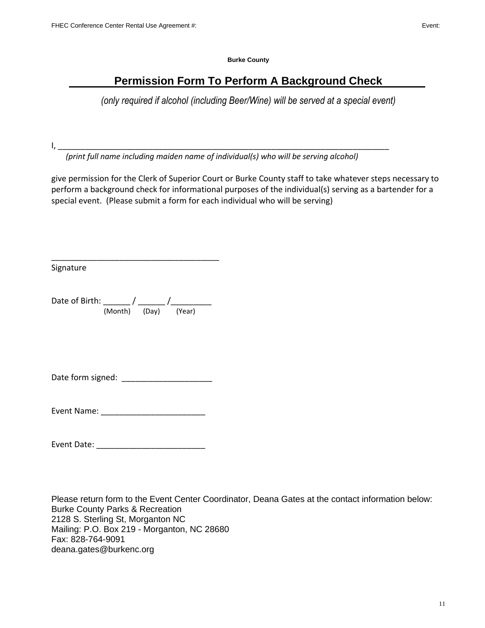**Burke County**

# **Permission Form To Perform A Background Check**

*(only required if alcohol (including Beer/Wine) will be served at a special event)*

I, \_\_\_\_\_\_\_\_\_\_\_\_\_\_\_\_\_\_\_\_\_\_\_\_\_\_\_\_\_\_\_\_\_\_\_\_\_\_\_\_\_\_\_\_\_\_\_\_\_\_\_\_\_\_\_\_\_\_\_\_\_\_\_\_\_\_\_\_\_\_\_\_\_

*(print full name including maiden name of individual(s) who will be serving alcohol)*

give permission for the Clerk of Superior Court or Burke County staff to take whatever steps necessary to perform a background check for informational purposes of the individual(s) serving as a bartender for a special event. (Please submit a form for each individual who will be serving)

Signature

Date of Birth: \_\_\_\_\_\_ / \_\_\_\_\_\_ /\_\_\_\_\_\_\_\_\_ (Month) (Day) (Year)

\_\_\_\_\_\_\_\_\_\_\_\_\_\_\_\_\_\_\_\_\_\_\_\_\_\_\_\_\_\_\_\_\_\_\_\_\_

Date form signed: \_\_\_\_\_\_\_\_\_\_\_\_\_\_\_\_\_\_\_\_

Event Name: \_\_\_\_\_\_\_\_\_\_\_\_\_\_\_\_\_\_\_\_\_\_\_

Event Date: \_\_\_\_\_\_\_\_\_\_\_\_\_\_\_\_\_\_\_\_\_\_\_\_

Please return form to the Event Center Coordinator, Deana Gates at the contact information below: Burke County Parks & Recreation 2128 S. Sterling St, Morganton NC Mailing: P.O. Box 219 - Morganton, NC 28680 Fax: 828-764-9091 deana.gates@burkenc.org